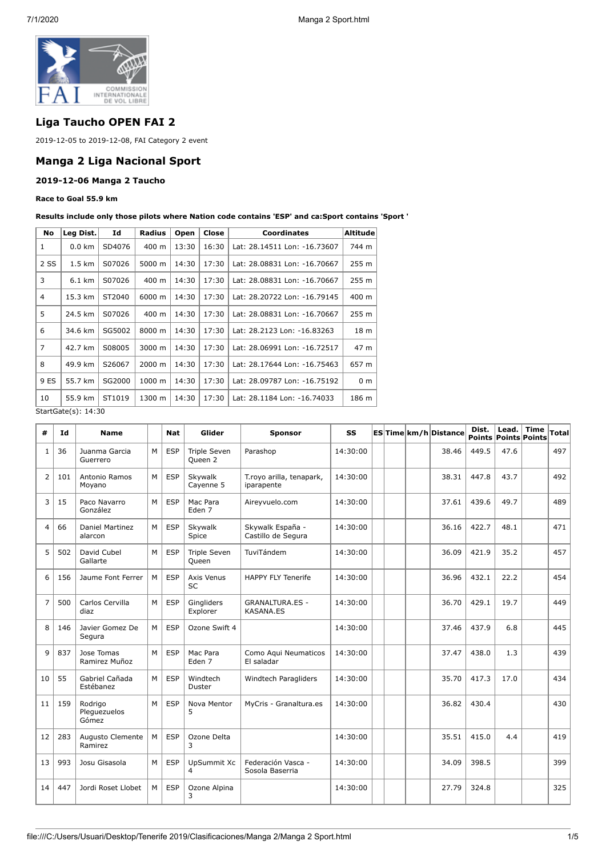

# **Liga Taucho OPEN FAI 2**

2019-12-05 to 2019-12-08, FAI Category 2 event

## **Manga 2 Liga Nacional Sport**

#### **2019-12-06 Manga 2 Taucho**

#### **Race to Goal 55.9 km**

**Results include only those pilots where Nation code contains 'ESP' and ca:Sport contains 'Sport '**

| <b>No</b>      | Leg Dist.                  | Id     | <b>Radius</b> | Open           | Close                                 | <b>Coordinates</b>           | <b>Altitude</b>  |  |  |  |
|----------------|----------------------------|--------|---------------|----------------|---------------------------------------|------------------------------|------------------|--|--|--|
| 1              | $0.0 \text{ km}$           | SD4076 | 400 m         | 13:30          | 16:30                                 | Lat: 28.14511 Lon: -16.73607 | 744 m            |  |  |  |
| 2 SS           | $1.5 \text{ km}$           | S07026 | 5000 m        | 14:30<br>17:30 |                                       | Lat: 28.08831 Lon: -16.70667 | 255 m            |  |  |  |
| 3              | $6.1 \text{ km}$<br>S07026 |        | 400 m         | 14:30          | 17:30<br>Lat: 28.08831 Lon: -16.70667 |                              | 255 <sub>m</sub> |  |  |  |
| 4              | 15.3 km                    | ST2040 | 6000 m        | 14:30          | 17:30                                 | Lat: 28.20722 Lon: -16.79145 | 400 m            |  |  |  |
| 5              | 24.5 km                    | S07026 | 400 m         | 14:30          | 17:30                                 | Lat: 28.08831 Lon: -16.70667 | 255 <sub>m</sub> |  |  |  |
| 6              | 34.6 km                    | SG5002 | 8000 m        | 14:30          | 17:30                                 | Lat: 28.2123 Lon: -16.83263  | 18 m             |  |  |  |
| $\overline{7}$ | 42.7 km                    | S08005 | 3000 m        | 14:30          | 17:30                                 | Lat: 28.06991 Lon: -16.72517 | 47 m             |  |  |  |
| 8              | 49.9 km                    | S26067 | 2000 m        | 14:30          | 17:30                                 | Lat: 28.17644 Lon: -16.75463 | 657 m            |  |  |  |
| 9 ES           | 55.7 km                    | SG2000 | 1000 m        | 14:30          | 17:30                                 | Lat: 28.09787 Lon: -16.75192 | 0 <sub>m</sub>   |  |  |  |
| 10             | 55.9 km                    | ST1019 | 1300 m        | 14:30          | 17:30                                 | Lat: 28.1184 Lon: -16.74033  | 186 m            |  |  |  |
|                | StartGate(s): 14:30        |        |               |                |                                       |                              |                  |  |  |  |

StartGate(s): 14:30

| #              | Id  | <b>Name</b>                      |   | <b>Nat</b> | Glider                         | <b>Sponsor</b>                             | SS       |  | ES Time km/h Distance | Dist.<br><b>Points Points Points</b> | Lead. | <b>Time</b> | <b>Total</b> |
|----------------|-----|----------------------------------|---|------------|--------------------------------|--------------------------------------------|----------|--|-----------------------|--------------------------------------|-------|-------------|--------------|
| 1              | 36  | Juanma Garcia<br>Guerrero        | M | <b>ESP</b> | <b>Triple Seven</b><br>Queen 2 | Parashop                                   | 14:30:00 |  | 38.46                 | 449.5                                | 47.6  |             | 497          |
| $\overline{2}$ | 101 | Antonio Ramos<br>Moyano          | M | <b>ESP</b> | Skywalk<br>Cayenne 5           | T.royo arilla, tenapark,<br>iparapente     | 14:30:00 |  | 38.31                 | 447.8                                | 43.7  |             | 492          |
| 3              | 15  | Paco Navarro<br>González         | M | <b>ESP</b> | Mac Para<br>Eden <sub>7</sub>  | Aireyvuelo.com                             | 14:30:00 |  | 37.61                 | 439.6                                | 49.7  |             | 489          |
| $\overline{a}$ | 66  | Daniel Martinez<br>alarcon       | M | <b>ESP</b> | Skvwalk<br>Spice               | Skywalk España -<br>Castillo de Segura     | 14:30:00 |  | 36.16                 | 422.7                                | 48.1  |             | 471          |
| 5              | 502 | David Cubel<br>Gallarte          | M | <b>ESP</b> | <b>Triple Seven</b><br>Queen   | TuviTándem                                 | 14:30:00 |  | 36.09                 | 421.9                                | 35.2  |             | 457          |
| 6              | 156 | Jaume Font Ferrer                | M | <b>ESP</b> | Axis Venus<br><b>SC</b>        | <b>HAPPY FLY Tenerife</b>                  | 14:30:00 |  | 36.96                 | 432.1                                | 22.2  |             | 454          |
| $\overline{7}$ | 500 | Carlos Cervilla<br>diaz          | M | <b>ESP</b> | Gingliders<br>Explorer         | <b>GRANALTURA.ES -</b><br><b>KASANA.ES</b> | 14:30:00 |  | 36.70                 | 429.1                                | 19.7  |             | 449          |
| 8              | 146 | Javier Gomez De<br>Segura        | M | <b>ESP</b> | Ozone Swift 4                  |                                            | 14:30:00 |  | 37.46                 | 437.9                                | 6.8   |             | 445          |
| 9              | 837 | Jose Tomas<br>Ramirez Muñoz      | M | <b>ESP</b> | Mac Para<br>Eden 7             | Como Aqui Neumaticos<br>El saladar         | 14:30:00 |  | 37.47                 | 438.0                                | 1.3   |             | 439          |
| 10             | 55  | Gabriel Cañada<br>Estébanez      | M | <b>ESP</b> | Windtech<br>Duster             | Windtech Paragliders                       | 14:30:00 |  | 35.70                 | 417.3                                | 17.0  |             | 434          |
| 11             | 159 | Rodrigo<br>Plequezuelos<br>Gómez | M | <b>ESP</b> | Nova Mentor<br>5               | MyCris - Granaltura.es                     | 14:30:00 |  | 36.82                 | 430.4                                |       |             | 430          |
| 12             | 283 | Augusto Clemente<br>Ramirez      | M | <b>ESP</b> | Ozone Delta<br>3               |                                            | 14:30:00 |  | 35.51                 | 415.0                                | 4.4   |             | 419          |
| 13             | 993 | Josu Gisasola                    | M | <b>ESP</b> | UpSummit Xc<br>4               | Federación Vasca -<br>Sosola Baserria      | 14:30:00 |  | 34.09                 | 398.5                                |       |             | 399          |
| 14             | 447 | Jordi Roset Llobet               | м | ESP        | Ozone Alpina<br>3              |                                            | 14:30:00 |  | 27.79                 | 324.8                                |       |             | 325          |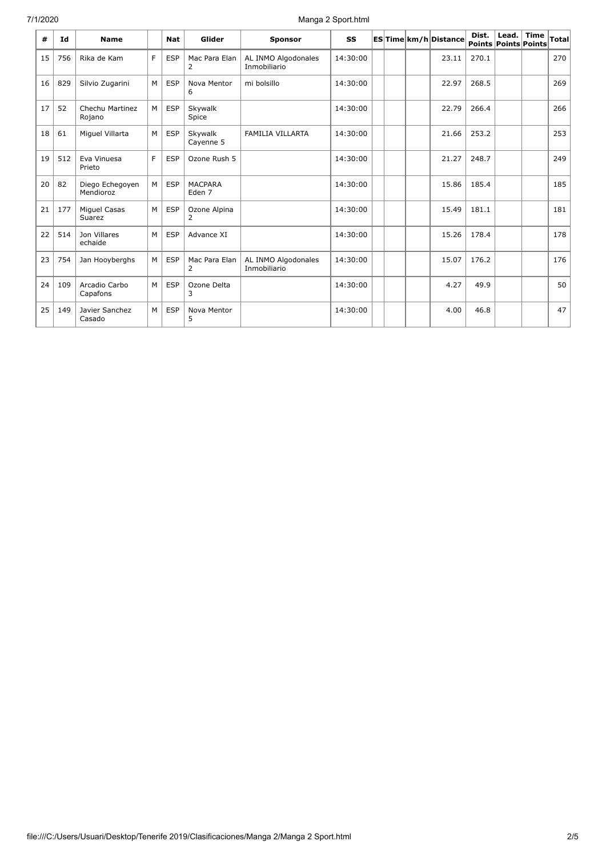## 7/1/2020 Manga 2 Sport.html

| #  | Id  | <b>Name</b>                  |                | <b>Nat</b> | Glider                              | <b>Sponsor</b>                      | SS       |  | ES Time km/h Distance | Dist.<br><b>Points Points Points</b> | Lead. $ $ Time | Total |
|----|-----|------------------------------|----------------|------------|-------------------------------------|-------------------------------------|----------|--|-----------------------|--------------------------------------|----------------|-------|
| 15 | 756 | Rika de Kam                  | F              | <b>ESP</b> | Mac Para Elan<br>$\overline{2}$     | AL INMO Algodonales<br>Inmobiliario | 14:30:00 |  | 23.11                 | 270.1                                |                | 270   |
| 16 | 829 | Silvio Zugarini              | M              | <b>ESP</b> | Nova Mentor<br>6                    | mi bolsillo                         | 14:30:00 |  | 22.97                 | 268.5                                |                | 269   |
| 17 | 52  | Chechu Martinez<br>Rojano    | M              | <b>ESP</b> | Skywalk<br>Spice                    |                                     | 14:30:00 |  | 22.79                 | 266.4                                |                | 266   |
| 18 | 61  | Miguel Villarta              | M              | <b>ESP</b> | Skywalk<br>Cayenne 5                | <b>FAMILIA VILLARTA</b>             | 14:30:00 |  | 21.66                 | 253.2                                |                | 253   |
| 19 | 512 | Eva Vinuesa<br>Prieto        | E              | <b>ESP</b> | Ozone Rush 5                        |                                     | 14:30:00 |  | 21.27                 | 248.7                                |                | 249   |
| 20 | 82  | Diego Echegoyen<br>Mendioroz | M              | <b>ESP</b> | <b>MACPARA</b><br>Eden <sub>7</sub> |                                     | 14:30:00 |  | 15.86                 | 185.4                                |                | 185   |
| 21 | 177 | Miguel Casas<br>Suarez       | M              | <b>ESP</b> | Ozone Alpina<br>2                   |                                     | 14:30:00 |  | 15.49                 | 181.1                                |                | 181   |
| 22 | 514 | Jon Villares<br>echaide      | M              | <b>ESP</b> | Advance XI                          |                                     | 14:30:00 |  | 15.26                 | 178.4                                |                | 178   |
| 23 | 754 | Jan Hooyberghs               | M <sub>1</sub> | <b>ESP</b> | Mac Para Elan<br>$\overline{2}$     | AL INMO Algodonales<br>Inmobiliario | 14:30:00 |  | 15.07                 | 176.2                                |                | 176   |
| 24 | 109 | Arcadio Carbo<br>Capafons    | M              | <b>ESP</b> | Ozone Delta<br>3                    |                                     | 14:30:00 |  | 4.27                  | 49.9                                 |                | 50    |
| 25 | 149 | Javier Sanchez<br>Casado     | M              | <b>ESP</b> | Nova Mentor<br>5                    |                                     | 14:30:00 |  | 4.00                  | 46.8                                 |                | 47    |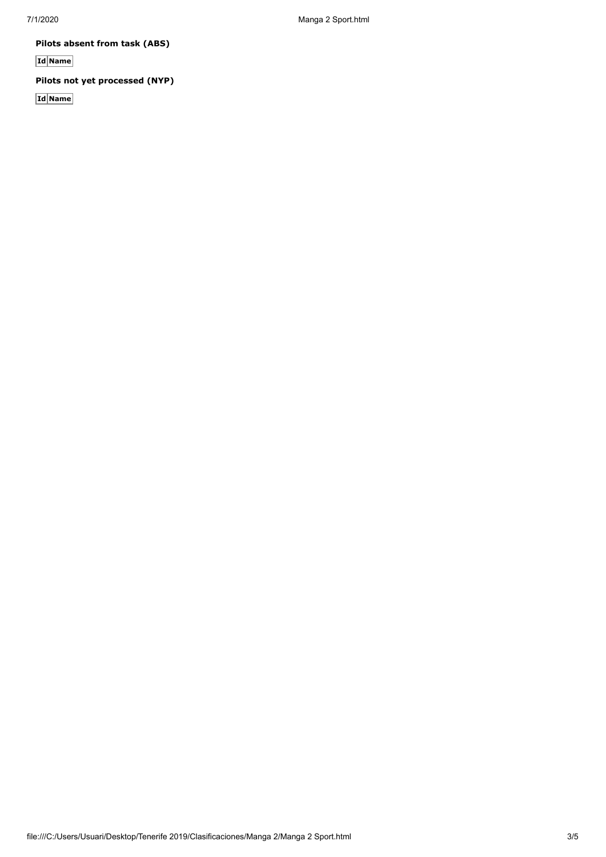**Pilots absent from task (ABS)**

**Id Name**

**Pilots not yet processed (NYP)**

**Id Name**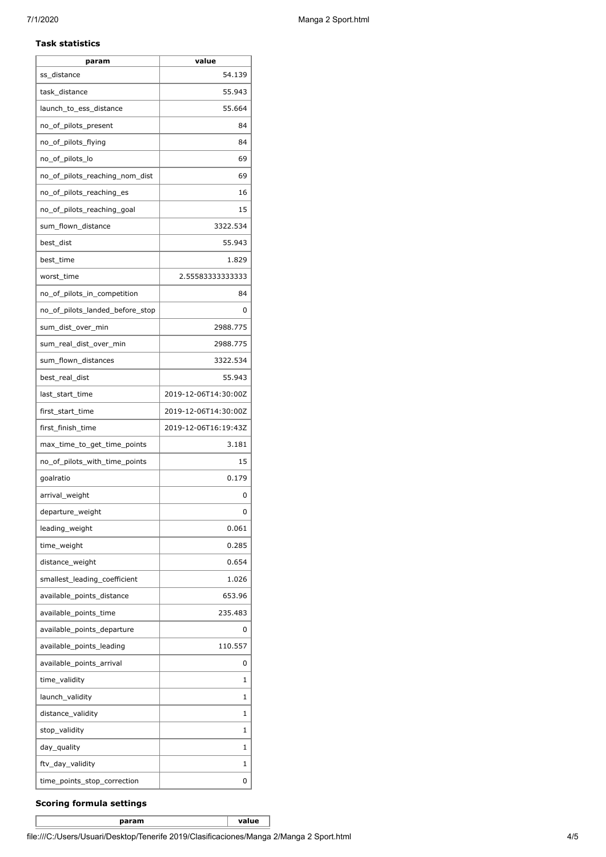#### **Task statistics**

| param                           | value                |
|---------------------------------|----------------------|
| ss_distance                     | 54.139               |
| task_distance                   | 55.943               |
| launch_to_ess_distance          | 55.664               |
| no_of_pilots_present            | 84                   |
| no_of_pilots_flying             | 84                   |
| no_of_pilots_lo                 | 69                   |
| no of pilots reaching nom dist  | 69                   |
| no_of_pilots_reaching_es        | 16                   |
| no_of_pilots_reaching_goal      | 15                   |
| sum_flown_distance              | 3322.534             |
| best_dist                       | 55.943               |
| best_time                       | 1.829                |
| worst time                      | 2.55583333333333     |
| no_of_pilots_in_competition     | 84                   |
| no_of_pilots_landed_before_stop | 0                    |
| sum_dist_over_min               | 2988.775             |
| sum_real_dist_over_min          | 2988.775             |
| sum_flown_distances             | 3322.534             |
| best_real_dist                  | 55.943               |
| last_start_time                 | 2019-12-06T14:30:00Z |
| first_start_time                | 2019-12-06T14:30:00Z |
| first_finish_time               | 2019-12-06T16:19:43Z |
| max_time_to_get_time_points     | 3.181                |
| no of pilots with time points   | 15                   |
| goalratio                       | 0.179                |
| arrival_weight                  | 0                    |
| departure_weight                | 0                    |
| leading_weight                  | 0.061                |
| time_weight                     | 0.285                |
| distance_weight                 | 0.654                |
| smallest_leading_coefficient    | 1.026                |
| available_points_distance       | 653.96               |
| available_points_time           | 235.483              |
| available_points_departure      | 0                    |
| available_points_leading        | 110.557              |
| available_points_arrival        | 0                    |
| time_validity                   | 1                    |
| launch_validity                 | 1                    |
| distance_validity               | 1                    |
| stop_validity                   | 1                    |
| day_quality                     | 1                    |
| ftv_day_validity                | 1                    |
| time_points_stop_correction     | 0                    |

### **Scoring formula settings**

**param value**